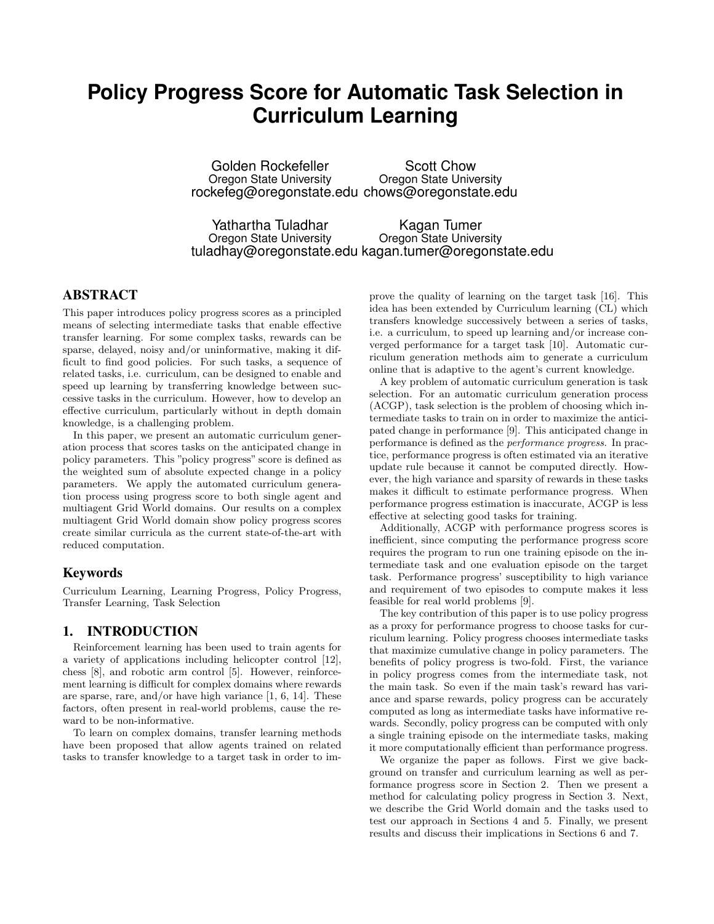# **Policy Progress Score for Automatic Task Selection in Curriculum Learning**

Golden Rockefeller Oregon State University rockefeg@oregonstate.edu chows@oregonstate.edu Scott Chow Oregon State University

Yathartha Tuladhar Oregon State University tuladhay@oregonstate.edu kagan.tumer@oregonstate.edu Kagan Tumer Oregon State University

# ABSTRACT

This paper introduces policy progress scores as a principled means of selecting intermediate tasks that enable effective transfer learning. For some complex tasks, rewards can be sparse, delayed, noisy and/or uninformative, making it difficult to find good policies. For such tasks, a sequence of related tasks, i.e. curriculum, can be designed to enable and speed up learning by transferring knowledge between successive tasks in the curriculum. However, how to develop an effective curriculum, particularly without in depth domain knowledge, is a challenging problem.

In this paper, we present an automatic curriculum generation process that scores tasks on the anticipated change in policy parameters. This "policy progress" score is defined as the weighted sum of absolute expected change in a policy parameters. We apply the automated curriculum generation process using progress score to both single agent and multiagent Grid World domains. Our results on a complex multiagent Grid World domain show policy progress scores create similar curricula as the current state-of-the-art with reduced computation.

## Keywords

Curriculum Learning, Learning Progress, Policy Progress, Transfer Learning, Task Selection

#### 1. INTRODUCTION

Reinforcement learning has been used to train agents for a variety of applications including helicopter control [12], chess [8], and robotic arm control [5]. However, reinforcement learning is difficult for complex domains where rewards are sparse, rare, and/or have high variance [1, 6, 14]. These factors, often present in real-world problems, cause the reward to be non-informative.

To learn on complex domains, transfer learning methods have been proposed that allow agents trained on related tasks to transfer knowledge to a target task in order to im-

prove the quality of learning on the target task [16]. This idea has been extended by Curriculum learning (CL) which transfers knowledge successively between a series of tasks, i.e. a curriculum, to speed up learning and/or increase converged performance for a target task [10]. Automatic curriculum generation methods aim to generate a curriculum online that is adaptive to the agent's current knowledge.

A key problem of automatic curriculum generation is task selection. For an automatic curriculum generation process (ACGP), task selection is the problem of choosing which intermediate tasks to train on in order to maximize the anticipated change in performance [9]. This anticipated change in performance is defined as the performance progress. In practice, performance progress is often estimated via an iterative update rule because it cannot be computed directly. However, the high variance and sparsity of rewards in these tasks makes it difficult to estimate performance progress. When performance progress estimation is inaccurate, ACGP is less effective at selecting good tasks for training.

Additionally, ACGP with performance progress scores is inefficient, since computing the performance progress score requires the program to run one training episode on the intermediate task and one evaluation episode on the target task. Performance progress' susceptibility to high variance and requirement of two episodes to compute makes it less feasible for real world problems [9].

The key contribution of this paper is to use policy progress as a proxy for performance progress to choose tasks for curriculum learning. Policy progress chooses intermediate tasks that maximize cumulative change in policy parameters. The benefits of policy progress is two-fold. First, the variance in policy progress comes from the intermediate task, not the main task. So even if the main task's reward has variance and sparse rewards, policy progress can be accurately computed as long as intermediate tasks have informative rewards. Secondly, policy progress can be computed with only a single training episode on the intermediate tasks, making it more computationally efficient than performance progress.

We organize the paper as follows. First we give background on transfer and curriculum learning as well as performance progress score in Section 2. Then we present a method for calculating policy progress in Section 3. Next, we describe the Grid World domain and the tasks used to test our approach in Sections 4 and 5. Finally, we present results and discuss their implications in Sections 6 and 7.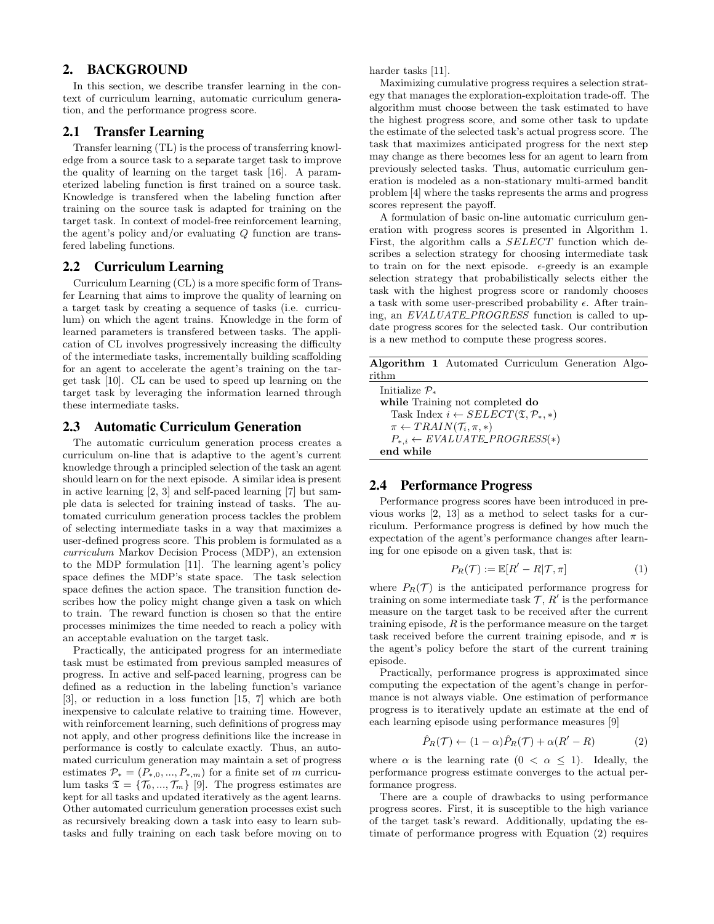## 2. BACKGROUND

In this section, we describe transfer learning in the context of curriculum learning, automatic curriculum generation, and the performance progress score.

#### 2.1 Transfer Learning

Transfer learning (TL) is the process of transferring knowledge from a source task to a separate target task to improve the quality of learning on the target task [16]. A parameterized labeling function is first trained on a source task. Knowledge is transfered when the labeling function after training on the source task is adapted for training on the target task. In context of model-free reinforcement learning, the agent's policy and/or evaluating Q function are transfered labeling functions.

#### 2.2 Curriculum Learning

Curriculum Learning (CL) is a more specific form of Transfer Learning that aims to improve the quality of learning on a target task by creating a sequence of tasks (i.e. curriculum) on which the agent trains. Knowledge in the form of learned parameters is transfered between tasks. The application of CL involves progressively increasing the difficulty of the intermediate tasks, incrementally building scaffolding for an agent to accelerate the agent's training on the target task [10]. CL can be used to speed up learning on the target task by leveraging the information learned through these intermediate tasks.

#### 2.3 Automatic Curriculum Generation

The automatic curriculum generation process creates a curriculum on-line that is adaptive to the agent's current knowledge through a principled selection of the task an agent should learn on for the next episode. A similar idea is present in active learning [2, 3] and self-paced learning [7] but sample data is selected for training instead of tasks. The automated curriculum generation process tackles the problem of selecting intermediate tasks in a way that maximizes a user-defined progress score. This problem is formulated as a curriculum Markov Decision Process (MDP), an extension to the MDP formulation [11]. The learning agent's policy space defines the MDP's state space. The task selection space defines the action space. The transition function describes how the policy might change given a task on which to train. The reward function is chosen so that the entire processes minimizes the time needed to reach a policy with an acceptable evaluation on the target task.

Practically, the anticipated progress for an intermediate task must be estimated from previous sampled measures of progress. In active and self-paced learning, progress can be defined as a reduction in the labeling function's variance [3], or reduction in a loss function [15, 7] which are both inexpensive to calculate relative to training time. However, with reinforcement learning, such definitions of progress may not apply, and other progress definitions like the increase in performance is costly to calculate exactly. Thus, an automated curriculum generation may maintain a set of progress estimates  $\mathcal{P}_* = (P_{*,0},...,P_{*,m})$  for a finite set of m curriculum tasks  $\mathfrak{T} = {\mathcal{T}_0, ..., \mathcal{T}_m}$  [9]. The progress estimates are kept for all tasks and updated iteratively as the agent learns. Other automated curriculum generation processes exist such as recursively breaking down a task into easy to learn subtasks and fully training on each task before moving on to

harder tasks [11].

Maximizing cumulative progress requires a selection strategy that manages the exploration-exploitation trade-off. The algorithm must choose between the task estimated to have the highest progress score, and some other task to update the estimate of the selected task's actual progress score. The task that maximizes anticipated progress for the next step may change as there becomes less for an agent to learn from previously selected tasks. Thus, automatic curriculum generation is modeled as a non-stationary multi-armed bandit problem [4] where the tasks represents the arms and progress scores represent the payoff.

A formulation of basic on-line automatic curriculum generation with progress scores is presented in Algorithm 1. First, the algorithm calls a SELECT function which describes a selection strategy for choosing intermediate task to train on for the next episode.  $\epsilon$ -greedy is an example selection strategy that probabilistically selects either the task with the highest progress score or randomly chooses a task with some user-prescribed probability  $\epsilon$ . After training, an EVALUATE PROGRESS function is called to update progress scores for the selected task. Our contribution is a new method to compute these progress scores.

Algorithm 1 Automated Curriculum Generation Algorithm

Initialize P<sup>∗</sup> while Training not completed do Task Index  $i \leftarrow SELECT(\mathfrak{T}, \mathcal{P}_*, *)$  $\pi \leftarrow TRAIN(\mathcal{T}_i, \pi, *)$  $P_{*,i} \leftarrow EVALUATE\_PROGRESS(*)$ end while

#### 2.4 Performance Progress

Performance progress scores have been introduced in previous works [2, 13] as a method to select tasks for a curriculum. Performance progress is defined by how much the expectation of the agent's performance changes after learning for one episode on a given task, that is:

$$
P_R(\mathcal{T}) := \mathbb{E}[R' - R|\mathcal{T}, \pi]
$$
 (1)

where  $P_R(\mathcal{T})$  is the anticipated performance progress for training on some intermediate task  $T$ ,  $R'$  is the performance measure on the target task to be received after the current training episode,  $R$  is the performance measure on the target task received before the current training episode, and  $\pi$  is the agent's policy before the start of the current training episode.

Practically, performance progress is approximated since computing the expectation of the agent's change in performance is not always viable. One estimation of performance progress is to iteratively update an estimate at the end of each learning episode using performance measures [9]

$$
\hat{P}_R(\mathcal{T}) \leftarrow (1 - \alpha)\hat{P}_R(\mathcal{T}) + \alpha(R' - R) \tag{2}
$$

where  $\alpha$  is the learning rate  $(0 < \alpha \leq 1)$ . Ideally, the performance progress estimate converges to the actual performance progress.

There are a couple of drawbacks to using performance progress scores. First, it is susceptible to the high variance of the target task's reward. Additionally, updating the estimate of performance progress with Equation (2) requires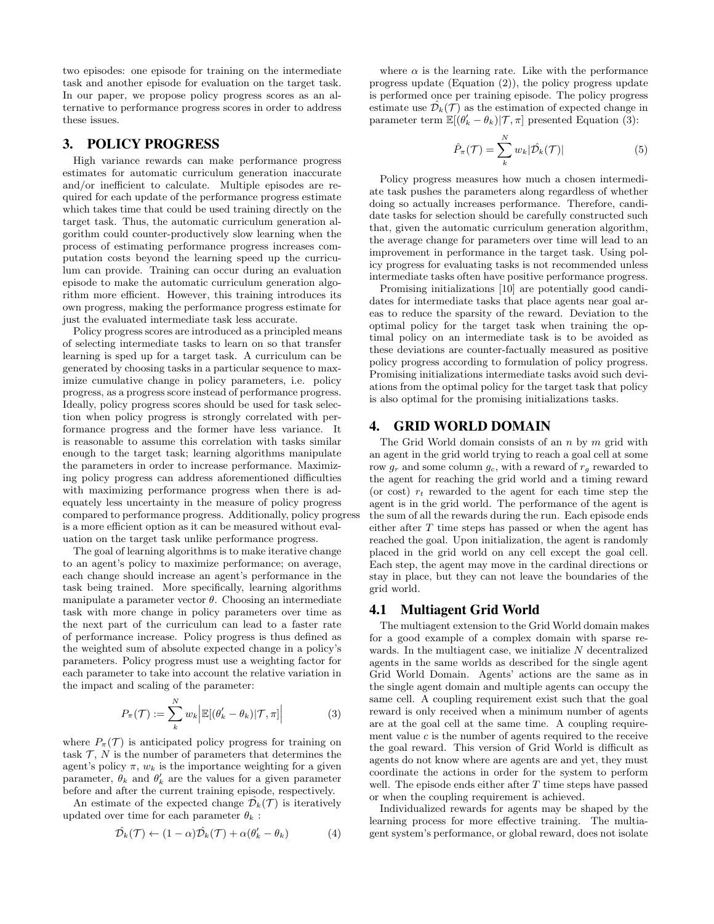two episodes: one episode for training on the intermediate task and another episode for evaluation on the target task. In our paper, we propose policy progress scores as an alternative to performance progress scores in order to address these issues.

### 3. POLICY PROGRESS

High variance rewards can make performance progress estimates for automatic curriculum generation inaccurate and/or inefficient to calculate. Multiple episodes are required for each update of the performance progress estimate which takes time that could be used training directly on the target task. Thus, the automatic curriculum generation algorithm could counter-productively slow learning when the process of estimating performance progress increases computation costs beyond the learning speed up the curriculum can provide. Training can occur during an evaluation episode to make the automatic curriculum generation algorithm more efficient. However, this training introduces its own progress, making the performance progress estimate for just the evaluated intermediate task less accurate.

Policy progress scores are introduced as a principled means of selecting intermediate tasks to learn on so that transfer learning is sped up for a target task. A curriculum can be generated by choosing tasks in a particular sequence to maximize cumulative change in policy parameters, i.e. policy progress, as a progress score instead of performance progress. Ideally, policy progress scores should be used for task selection when policy progress is strongly correlated with performance progress and the former have less variance. It is reasonable to assume this correlation with tasks similar enough to the target task; learning algorithms manipulate the parameters in order to increase performance. Maximizing policy progress can address aforementioned difficulties with maximizing performance progress when there is adequately less uncertainty in the measure of policy progress compared to performance progress. Additionally, policy progress is a more efficient option as it can be measured without evaluation on the target task unlike performance progress.

The goal of learning algorithms is to make iterative change to an agent's policy to maximize performance; on average, each change should increase an agent's performance in the task being trained. More specifically, learning algorithms manipulate a parameter vector  $\theta$ . Choosing an intermediate task with more change in policy parameters over time as the next part of the curriculum can lead to a faster rate of performance increase. Policy progress is thus defined as the weighted sum of absolute expected change in a policy's parameters. Policy progress must use a weighting factor for each parameter to take into account the relative variation in the impact and scaling of the parameter:

$$
P_{\pi}(\mathcal{T}) := \sum_{k}^{N} w_{k} \left| \mathbb{E}[(\theta'_{k} - \theta_{k}) | \mathcal{T}, \pi] \right| \tag{3}
$$

where  $P_{\pi}(\mathcal{T})$  is anticipated policy progress for training on task  $\mathcal{T}$ , N is the number of parameters that determines the agent's policy  $\pi$ ,  $w_k$  is the importance weighting for a given parameter,  $\theta_k$  and  $\theta'_k$  are the values for a given parameter before and after the current training episode, respectively.

An estimate of the expected change  $\mathcal{D}_k(\mathcal{T})$  is iteratively updated over time for each parameter  $\theta_k$ :

$$
\hat{\mathcal{D}_k}(\mathcal{T}) \leftarrow (1 - \alpha) \hat{\mathcal{D}_k}(\mathcal{T}) + \alpha (\theta_k' - \theta_k) \tag{4}
$$

where  $\alpha$  is the learning rate. Like with the performance progress update (Equation (2)), the policy progress update is performed once per training episode. The policy progress estimate use  $\hat{\mathcal{D}_k}(\mathcal{T})$  as the estimation of expected change in parameter term  $\mathbb{E}[(\theta_k'-\theta_k)|\mathcal{T},\pi]$  presented Equation (3):

$$
\hat{P}_{\pi}(\mathcal{T}) = \sum_{k}^{N} w_{k} |\hat{\mathcal{D}_{k}}(\mathcal{T})| \tag{5}
$$

Policy progress measures how much a chosen intermediate task pushes the parameters along regardless of whether doing so actually increases performance. Therefore, candidate tasks for selection should be carefully constructed such that, given the automatic curriculum generation algorithm, the average change for parameters over time will lead to an improvement in performance in the target task. Using policy progress for evaluating tasks is not recommended unless intermediate tasks often have positive performance progress.

Promising initializations [10] are potentially good candidates for intermediate tasks that place agents near goal areas to reduce the sparsity of the reward. Deviation to the optimal policy for the target task when training the optimal policy on an intermediate task is to be avoided as these deviations are counter-factually measured as positive policy progress according to formulation of policy progress. Promising initializations intermediate tasks avoid such deviations from the optimal policy for the target task that policy is also optimal for the promising initializations tasks.

### 4. GRID WORLD DOMAIN

The Grid World domain consists of an  $n$  by  $m$  grid with an agent in the grid world trying to reach a goal cell at some row  $g_r$  and some column  $g_c$ , with a reward of  $r_g$  rewarded to the agent for reaching the grid world and a timing reward (or cost)  $r_t$  rewarded to the agent for each time step the agent is in the grid world. The performance of the agent is the sum of all the rewards during the run. Each episode ends either after T time steps has passed or when the agent has reached the goal. Upon initialization, the agent is randomly placed in the grid world on any cell except the goal cell. Each step, the agent may move in the cardinal directions or stay in place, but they can not leave the boundaries of the grid world.

## 4.1 Multiagent Grid World

The multiagent extension to the Grid World domain makes for a good example of a complex domain with sparse rewards. In the multiagent case, we initialize N decentralized agents in the same worlds as described for the single agent Grid World Domain. Agents' actions are the same as in the single agent domain and multiple agents can occupy the same cell. A coupling requirement exist such that the goal reward is only received when a minimum number of agents are at the goal cell at the same time. A coupling requirement value  $c$  is the number of agents required to the receive the goal reward. This version of Grid World is difficult as agents do not know where are agents are and yet, they must coordinate the actions in order for the system to perform well. The episode ends either after  $T$  time steps have passed or when the coupling requirement is achieved.

Individualized rewards for agents may be shaped by the learning process for more effective training. The multiagent system's performance, or global reward, does not isolate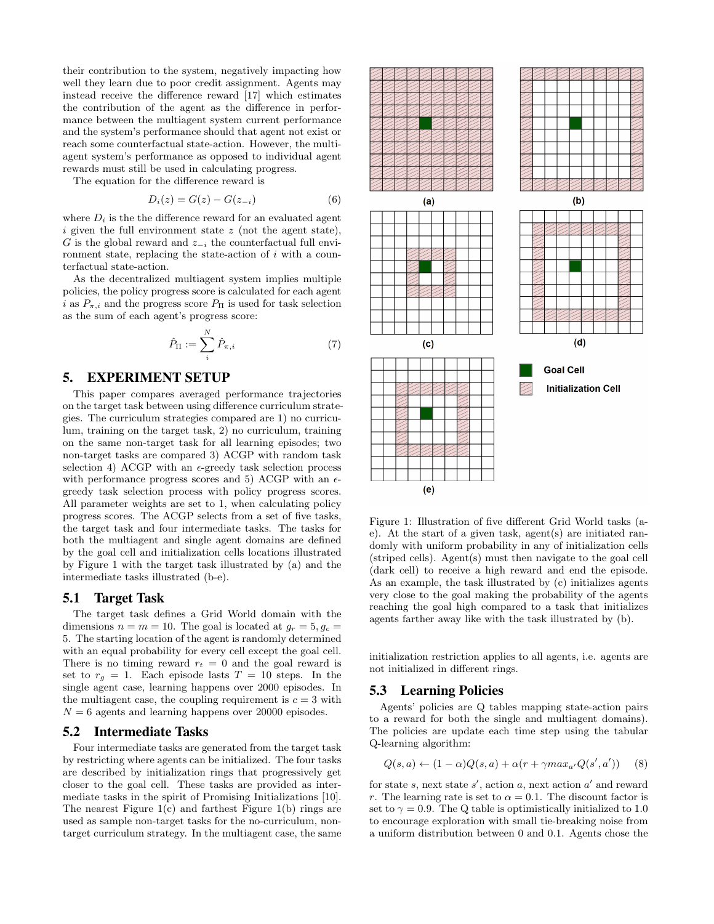their contribution to the system, negatively impacting how well they learn due to poor credit assignment. Agents may instead receive the difference reward [17] which estimates the contribution of the agent as the difference in performance between the multiagent system current performance and the system's performance should that agent not exist or reach some counterfactual state-action. However, the multiagent system's performance as opposed to individual agent rewards must still be used in calculating progress.

The equation for the difference reward is

$$
D_i(z) = G(z) - G(z_{-i})
$$
 (6)

where  $D_i$  is the the difference reward for an evaluated agent  $i$  given the full environment state  $z$  (not the agent state), G is the global reward and  $z_{-i}$  the counterfactual full environment state, replacing the state-action of i with a counterfactual state-action.

As the decentralized multiagent system implies multiple policies, the policy progress score is calculated for each agent i as  $P_{\pi,i}$  and the progress score  $P_{\Pi}$  is used for task selection as the sum of each agent's progress score:

$$
\hat{P}_{\Pi} := \sum_{i}^{N} \hat{P}_{\pi, i} \tag{7}
$$

# 5. EXPERIMENT SETUP

This paper compares averaged performance trajectories on the target task between using difference curriculum strategies. The curriculum strategies compared are 1) no curriculum, training on the target task, 2) no curriculum, training on the same non-target task for all learning episodes; two non-target tasks are compared 3) ACGP with random task selection 4) ACGP with an  $\epsilon$ -greedy task selection process with performance progress scores and 5) ACGP with an  $\epsilon\text{-}$ greedy task selection process with policy progress scores. All parameter weights are set to 1, when calculating policy progress scores. The ACGP selects from a set of five tasks, the target task and four intermediate tasks. The tasks for both the multiagent and single agent domains are defined by the goal cell and initialization cells locations illustrated by Figure 1 with the target task illustrated by (a) and the intermediate tasks illustrated (b-e).

#### 5.1 Target Task

The target task defines a Grid World domain with the dimensions  $n = m = 10$ . The goal is located at  $g_r = 5, g_c =$ 5. The starting location of the agent is randomly determined with an equal probability for every cell except the goal cell. There is no timing reward  $r_t = 0$  and the goal reward is set to  $r_g = 1$ . Each episode lasts  $T = 10$  steps. In the single agent case, learning happens over 2000 episodes. In the multiagent case, the coupling requirement is  $c = 3$  with  $N = 6$  agents and learning happens over 20000 episodes.

#### 5.2 Intermediate Tasks

Four intermediate tasks are generated from the target task by restricting where agents can be initialized. The four tasks are described by initialization rings that progressively get closer to the goal cell. These tasks are provided as intermediate tasks in the spirit of Promising Initializations [10]. The nearest Figure  $1(c)$  and farthest Figure  $1(b)$  rings are used as sample non-target tasks for the no-curriculum, nontarget curriculum strategy. In the multiagent case, the same



Figure 1: Illustration of five different Grid World tasks (ae). At the start of a given task, agent(s) are initiated randomly with uniform probability in any of initialization cells (striped cells). Agent(s) must then navigate to the goal cell (dark cell) to receive a high reward and end the episode. As an example, the task illustrated by (c) initializes agents very close to the goal making the probability of the agents reaching the goal high compared to a task that initializes agents farther away like with the task illustrated by (b).

initialization restriction applies to all agents, i.e. agents are not initialized in different rings.

#### 5.3 Learning Policies

Agents' policies are Q tables mapping state-action pairs to a reward for both the single and multiagent domains). The policies are update each time step using the tabular Q-learning algorithm:

$$
Q(s, a) \leftarrow (1 - \alpha)Q(s, a) + \alpha(r + \gamma max_{a'}Q(s', a')) \quad (8)
$$

for state s, next state  $s'$ , action a, next action  $a'$  and reward r. The learning rate is set to  $\alpha = 0.1$ . The discount factor is set to  $\gamma = 0.9$ . The Q table is optimistically initialized to 1.0 to encourage exploration with small tie-breaking noise from a uniform distribution between 0 and 0.1. Agents chose the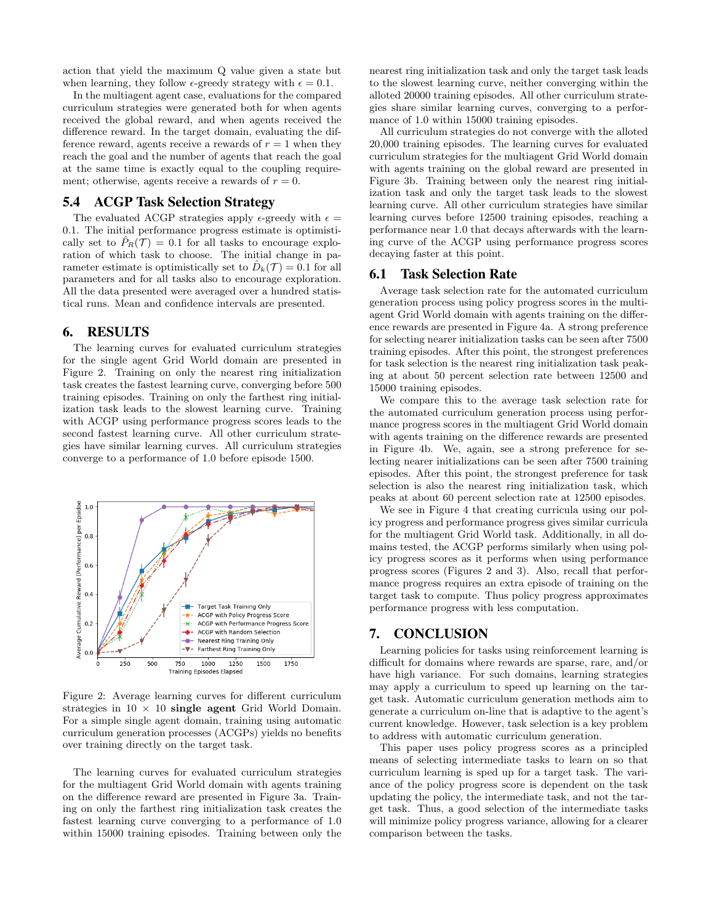action that yield the maximum Q value given a state but when learning, they follow  $\epsilon$ -greedy strategy with  $\epsilon = 0.1$ .

In the multiagent agent case, evaluations for the compared curriculum strategies were generated both for when agents received the global reward, and when agents received the difference reward. In the target domain, evaluating the difference reward, agents receive a rewards of  $r = 1$  when they reach the goal and the number of agents that reach the goal at the same time is exactly equal to the coupling requirement; otherwise, agents receive a rewards of  $r = 0$ .

# 5.4 ACGP Task Selection Strategy

The evaluated ACGP strategies apply  $\epsilon$ -greedy with  $\epsilon =$ 0.1. The initial performance progress estimate is optimistically set to  $\hat{P}_R(\mathcal{T}) = 0.1$  for all tasks to encourage exploration of which task to choose. The initial change in parameter estimate is optimistically set to  $\hat{D}_k(\mathcal{T}) = 0.1$  for all parameters and for all tasks also to encourage exploration. All the data presented were averaged over a hundred statistical runs. Mean and confidence intervals are presented.

#### 6. RESULTS

The learning curves for evaluated curriculum strategies for the single agent Grid World domain are presented in Figure 2. Training on only the nearest ring initialization task creates the fastest learning curve, converging before 500 training episodes. Training on only the farthest ring initialization task leads to the slowest learning curve. Training with ACGP using performance progress scores leads to the second fastest learning curve. All other curriculum strategies have similar learning curves. All curriculum strategies converge to a performance of 1.0 before episode 1500.



Figure 2: Average learning curves for different curriculum strategies in  $10 \times 10$  single agent Grid World Domain. For a simple single agent domain, training using automatic curriculum generation processes (ACGPs) yields no benefits over training directly on the target task.

The learning curves for evaluated curriculum strategies for the multiagent Grid World domain with agents training on the difference reward are presented in Figure 3a. Training on only the farthest ring initialization task creates the fastest learning curve converging to a performance of 1.0 within 15000 training episodes. Training between only the nearest ring initialization task and only the target task leads to the slowest learning curve, neither converging within the alloted 20000 training episodes. All other curriculum strategies share similar learning curves, converging to a performance of 1.0 within 15000 training episodes.

All curriculum strategies do not converge with the alloted 20,000 training episodes. The learning curves for evaluated curriculum strategies for the multiagent Grid World domain with agents training on the global reward are presented in Figure 3b. Training between only the nearest ring initialization task and only the target task leads to the slowest learning curve. All other curriculum strategies have similar learning curves before 12500 training episodes, reaching a performance near 1.0 that decays afterwards with the learning curve of the ACGP using performance progress scores decaying faster at this point.

### 6.1 Task Selection Rate

Average task selection rate for the automated curriculum generation process using policy progress scores in the multiagent Grid World domain with agents training on the difference rewards are presented in Figure 4a. A strong preference for selecting nearer initialization tasks can be seen after 7500 training episodes. After this point, the strongest preferences for task selection is the nearest ring initialization task peaking at about 50 percent selection rate between 12500 and 15000 training episodes.

We compare this to the average task selection rate for the automated curriculum generation process using performance progress scores in the multiagent Grid World domain with agents training on the difference rewards are presented in Figure 4b. We, again, see a strong preference for selecting nearer initializations can be seen after 7500 training episodes. After this point, the strongest preference for task selection is also the nearest ring initialization task, which peaks at about 60 percent selection rate at 12500 episodes.

We see in Figure 4 that creating curricula using our policy progress and performance progress gives similar curricula for the multiagent Grid World task. Additionally, in all domains tested, the ACGP performs similarly when using policy progress scores as it performs when using performance progress scores (Figures 2 and 3). Also, recall that performance progress requires an extra episode of training on the target task to compute. Thus policy progress approximates performance progress with less computation.

## 7. CONCLUSION

Learning policies for tasks using reinforcement learning is difficult for domains where rewards are sparse, rare, and/or have high variance. For such domains, learning strategies may apply a curriculum to speed up learning on the target task. Automatic curriculum generation methods aim to generate a curriculum on-line that is adaptive to the agent's current knowledge. However, task selection is a key problem to address with automatic curriculum generation.

This paper uses policy progress scores as a principled means of selecting intermediate tasks to learn on so that curriculum learning is sped up for a target task. The variance of the policy progress score is dependent on the task updating the policy, the intermediate task, and not the target task. Thus, a good selection of the intermediate tasks will minimize policy progress variance, allowing for a clearer comparison between the tasks.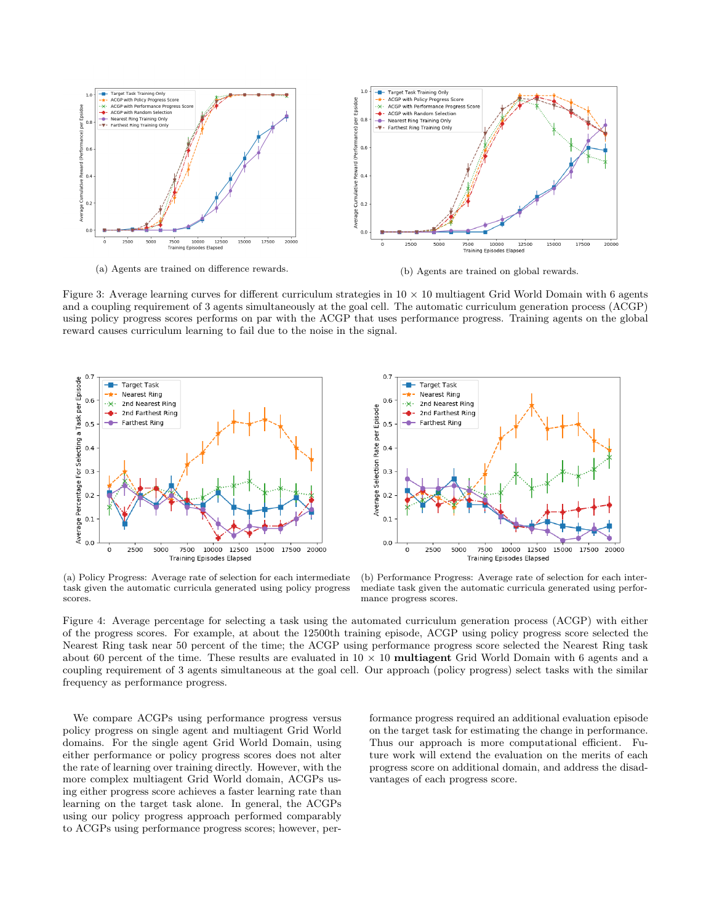

(a) Agents are trained on difference rewards. (b) Agents are trained on global rewards.

Figure 3: Average learning curves for different curriculum strategies in  $10 \times 10$  multiagent Grid World Domain with 6 agents and a coupling requirement of 3 agents simultaneously at the goal cell. The automatic curriculum generation process (ACGP) using policy progress scores performs on par with the ACGP that uses performance progress. Training agents on the global reward causes curriculum learning to fail due to the noise in the signal.





(a) Policy Progress: Average rate of selection for each intermediate task given the automatic curricula generated using policy progress scores.

(b) Performance Progress: Average rate of selection for each intermediate task given the automatic curricula generated using performance progress scores.

Figure 4: Average percentage for selecting a task using the automated curriculum generation process (ACGP) with either of the progress scores. For example, at about the 12500th training episode, ACGP using policy progress score selected the Nearest Ring task near 50 percent of the time; the ACGP using performance progress score selected the Nearest Ring task about 60 percent of the time. These results are evaluated in  $10 \times 10$  multiagent Grid World Domain with 6 agents and a coupling requirement of 3 agents simultaneous at the goal cell. Our approach (policy progress) select tasks with the similar frequency as performance progress.

We compare ACGPs using performance progress versus policy progress on single agent and multiagent Grid World domains. For the single agent Grid World Domain, using either performance or policy progress scores does not alter the rate of learning over training directly. However, with the more complex multiagent Grid World domain, ACGPs using either progress score achieves a faster learning rate than learning on the target task alone. In general, the ACGPs using our policy progress approach performed comparably to ACGPs using performance progress scores; however, performance progress required an additional evaluation episode on the target task for estimating the change in performance. Thus our approach is more computational efficient. Future work will extend the evaluation on the merits of each progress score on additional domain, and address the disadvantages of each progress score.